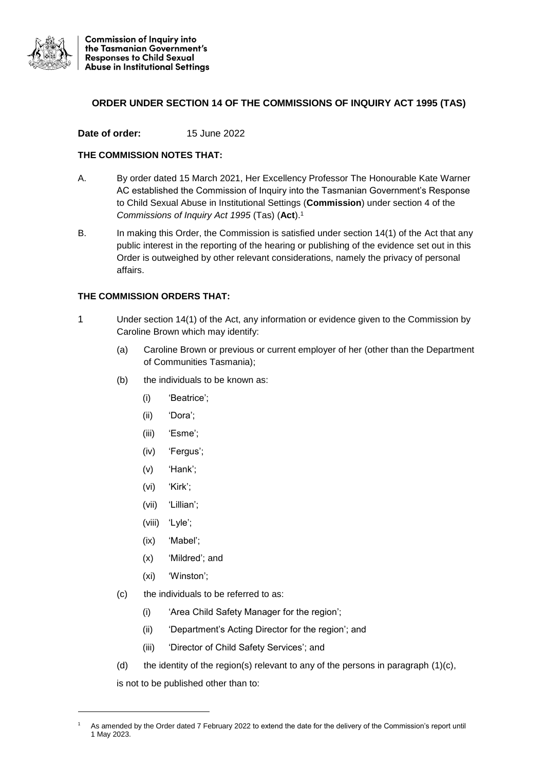

## **ORDER UNDER SECTION 14 OF THE COMMISSIONS OF INQUIRY ACT 1995 (TAS)**

## **Date of order:** 15 June 2022

## **THE COMMISSION NOTES THAT:**

- A. By order dated 15 March 2021, Her Excellency Professor The Honourable Kate Warner AC established the Commission of Inquiry into the Tasmanian Government's Response to Child Sexual Abuse in Institutional Settings (**Commission**) under section 4 of the *Commissions of Inquiry Act 1995* (Tas) (**Act**).<sup>1</sup>
- B. In making this Order, the Commission is satisfied under section 14(1) of the Act that any public interest in the reporting of the hearing or publishing of the evidence set out in this Order is outweighed by other relevant considerations, namely the privacy of personal affairs.

## **THE COMMISSION ORDERS THAT:**

- 1 Under section 14(1) of the Act, any information or evidence given to the Commission by Caroline Brown which may identify:
	- (a) Caroline Brown or previous or current employer of her (other than the Department of Communities Tasmania);
	- (b) the individuals to be known as:
		- (i) 'Beatrice';
		- (ii) 'Dora';
		- (iii) 'Esme';
		- (iv) 'Fergus';
		- (v) 'Hank';
		- (vi) 'Kirk';
		- (vii) 'Lillian';
		- (viii) 'Lyle';
		- (ix) 'Mabel';
		- (x) 'Mildred'; and
		- (xi) 'Winston';
	- (c) the individuals to be referred to as:
		- (i) 'Area Child Safety Manager for the region';
		- (ii) 'Department's Acting Director for the region'; and
		- (iii) 'Director of Child Safety Services'; and
	- (d) the identity of the region(s) relevant to any of the persons in paragraph  $(1)(c)$ ,

is not to be published other than to:

1

As amended by the Order dated 7 February 2022 to extend the date for the delivery of the Commission's report until 1 May 2023.